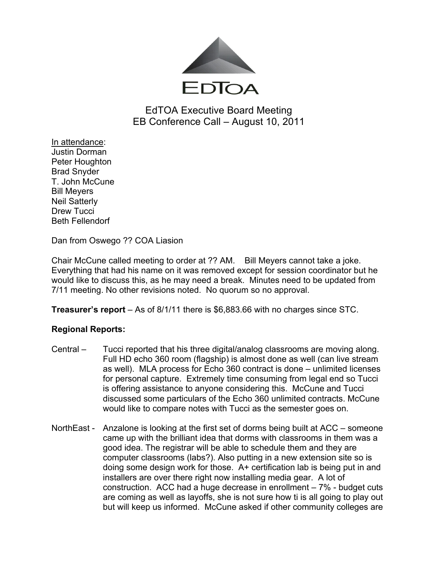

# EdTOA Executive Board Meeting EB Conference Call – August 10, 2011

In attendance: Justin Dorman Peter Houghton Brad Snyder T. John McCune Bill Meyers Neil Satterly Drew Tucci Beth Fellendorf

Dan from Oswego ?? COA Liasion

Chair McCune called meeting to order at ?? AM. Bill Meyers cannot take a joke. Everything that had his name on it was removed except for session coordinator but he would like to discuss this, as he may need a break. Minutes need to be updated from 7/11 meeting. No other revisions noted. No quorum so no approval.

**Treasurer's report** – As of 8/1/11 there is \$6,883.66 with no charges since STC.

## **Regional Reports:**

- Central Tucci reported that his three digital/analog classrooms are moving along. Full HD echo 360 room (flagship) is almost done as well (can live stream as well). MLA process for Echo 360 contract is done – unlimited licenses for personal capture. Extremely time consuming from legal end so Tucci is offering assistance to anyone considering this. McCune and Tucci discussed some particulars of the Echo 360 unlimited contracts. McCune would like to compare notes with Tucci as the semester goes on.
- NorthEast Anzalone is looking at the first set of dorms being built at ACC someone came up with the brilliant idea that dorms with classrooms in them was a good idea. The registrar will be able to schedule them and they are computer classrooms (labs?). Also putting in a new extension site so is doing some design work for those. A+ certification lab is being put in and installers are over there right now installing media gear. A lot of construction. ACC had a huge decrease in enrollment – 7% - budget cuts are coming as well as layoffs, she is not sure how ti is all going to play out but will keep us informed. McCune asked if other community colleges are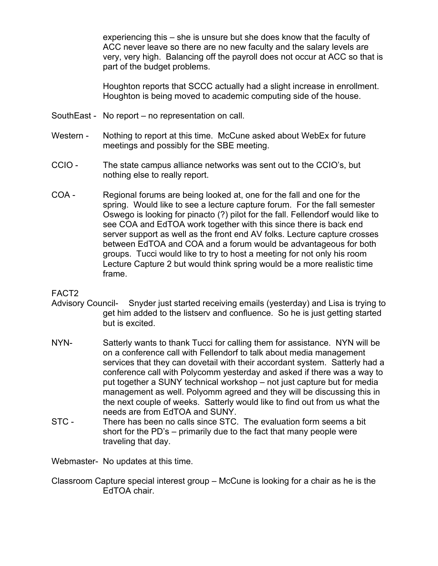experiencing this – she is unsure but she does know that the faculty of ACC never leave so there are no new faculty and the salary levels are very, very high. Balancing off the payroll does not occur at ACC so that is part of the budget problems.

Houghton reports that SCCC actually had a slight increase in enrollment. Houghton is being moved to academic computing side of the house.

- SouthEast No report no representation on call.
- Western Nothing to report at this time. McCune asked about WebEx for future meetings and possibly for the SBE meeting.
- CCIO The state campus alliance networks was sent out to the CCIO's, but nothing else to really report.
- COA Regional forums are being looked at, one for the fall and one for the spring. Would like to see a lecture capture forum. For the fall semester Oswego is looking for pinacto (?) pilot for the fall. Fellendorf would like to see COA and EdTOA work together with this since there is back end server support as well as the front end AV folks. Lecture capture crosses between EdTOA and COA and a forum would be advantageous for both groups. Tucci would like to try to host a meeting for not only his room Lecture Capture 2 but would think spring would be a more realistic time frame.

#### FACT2

- Advisory Council- Snyder just started receiving emails (yesterday) and Lisa is trying to get him added to the listserv and confluence. So he is just getting started but is excited.
- NYN- Satterly wants to thank Tucci for calling them for assistance. NYN will be on a conference call with Fellendorf to talk about media management services that they can dovetail with their accordant system. Satterly had a conference call with Polycomm yesterday and asked if there was a way to put together a SUNY technical workshop – not just capture but for media management as well. Polyomm agreed and they will be discussing this in the next couple of weeks. Satterly would like to find out from us what the needs are from EdTOA and SUNY.
- STC There has been no calls since STC. The evaluation form seems a bit short for the PD's – primarily due to the fact that many people were traveling that day.

Webmaster- No updates at this time.

Classroom Capture special interest group – McCune is looking for a chair as he is the EdTOA chair.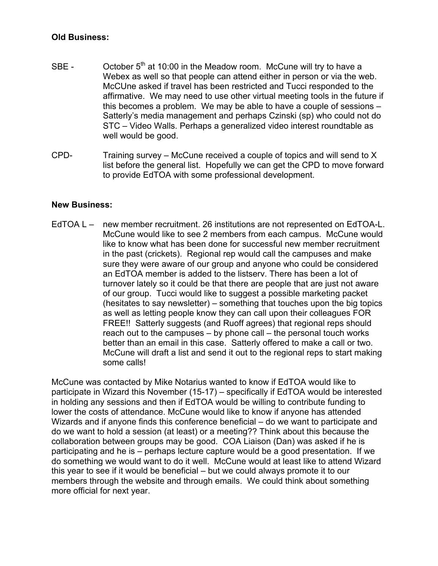### **Old Business:**

- SBE  $\qquad$  October 5<sup>th</sup> at 10:00 in the Meadow room. McCune will try to have a Webex as well so that people can attend either in person or via the web. McCUne asked if travel has been restricted and Tucci responded to the affirmative. We may need to use other virtual meeting tools in the future if this becomes a problem. We may be able to have a couple of sessions – Satterly's media management and perhaps Czinski (sp) who could not do STC – Video Walls. Perhaps a generalized video interest roundtable as well would be good.
- CPD- Training survey McCune received a couple of topics and will send to X list before the general list. Hopefully we can get the CPD to move forward to provide EdTOA with some professional development.

#### **New Business:**

EdTOA L – new member recruitment. 26 institutions are not represented on EdTOA-L. McCune would like to see 2 members from each campus. McCune would like to know what has been done for successful new member recruitment in the past (crickets). Regional rep would call the campuses and make sure they were aware of our group and anyone who could be considered an EdTOA member is added to the listserv. There has been a lot of turnover lately so it could be that there are people that are just not aware of our group. Tucci would like to suggest a possible marketing packet (hesitates to say newsletter) – something that touches upon the big topics as well as letting people know they can call upon their colleagues FOR FREE!! Satterly suggests (and Ruoff agrees) that regional reps should reach out to the campuses – by phone call – the personal touch works better than an email in this case. Satterly offered to make a call or two. McCune will draft a list and send it out to the regional reps to start making some calls!

McCune was contacted by Mike Notarius wanted to know if EdTOA would like to participate in Wizard this November (15-17) – specifically if EdTOA would be interested in holding any sessions and then if EdTOA would be willing to contribute funding to lower the costs of attendance. McCune would like to know if anyone has attended Wizards and if anyone finds this conference beneficial – do we want to participate and do we want to hold a session (at least) or a meeting?? Think about this because the collaboration between groups may be good. COA Liaison (Dan) was asked if he is participating and he is – perhaps lecture capture would be a good presentation. If we do something we would want to do it well. McCune would at least like to attend Wizard this year to see if it would be beneficial – but we could always promote it to our members through the website and through emails. We could think about something more official for next year.